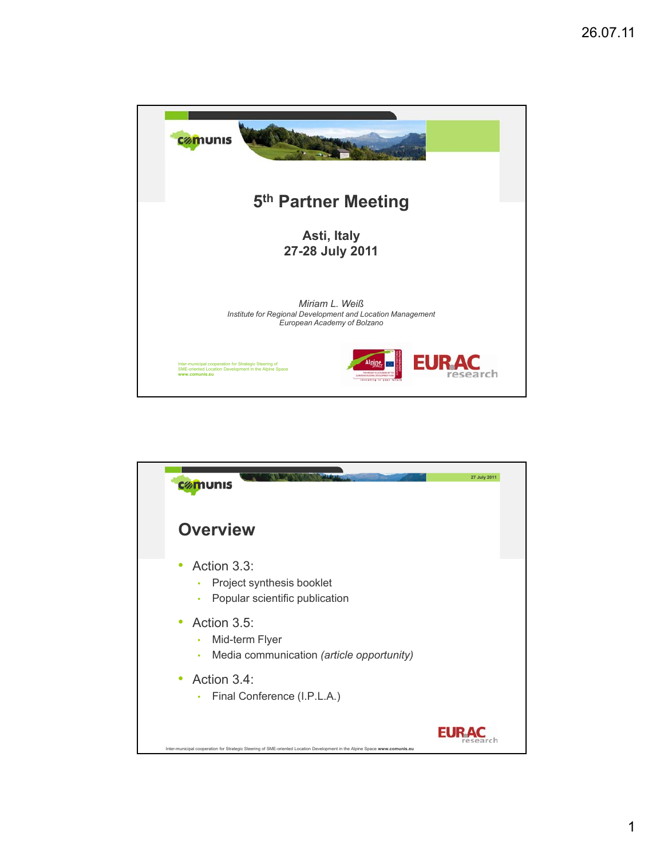

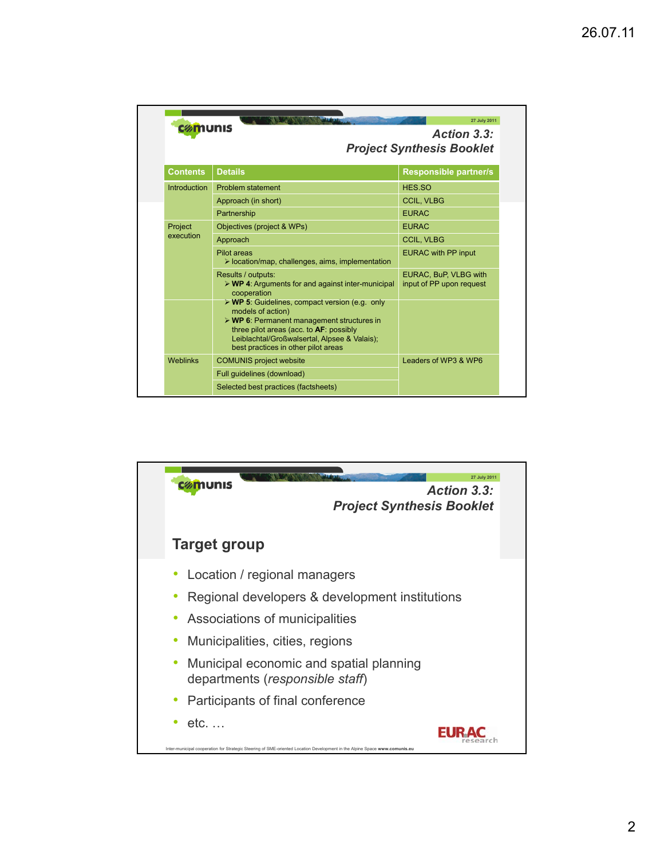| cømunis             |                                                                                                                                                                                                                                                                                                                                                                                            | 27 July 2011<br>Action 3.3:<br><b>Project Synthesis Booklet</b> |  |
|---------------------|--------------------------------------------------------------------------------------------------------------------------------------------------------------------------------------------------------------------------------------------------------------------------------------------------------------------------------------------------------------------------------------------|-----------------------------------------------------------------|--|
| <b>Contents</b>     | <b>Details</b>                                                                                                                                                                                                                                                                                                                                                                             | <b>Responsible partner/s</b>                                    |  |
| <b>Introduction</b> | Problem statement                                                                                                                                                                                                                                                                                                                                                                          | HES.SO                                                          |  |
|                     | Approach (in short)                                                                                                                                                                                                                                                                                                                                                                        | <b>CCIL, VLBG</b>                                               |  |
|                     | Partnership                                                                                                                                                                                                                                                                                                                                                                                | <b>FURAC</b>                                                    |  |
| Project             | Objectives (project & WPs)                                                                                                                                                                                                                                                                                                                                                                 | <b>EURAC</b>                                                    |  |
| execution           | Approach                                                                                                                                                                                                                                                                                                                                                                                   | <b>CCIL, VLBG</b>                                               |  |
|                     | Pilot areas<br>$\triangleright$ location/map, challenges, aims, implementation                                                                                                                                                                                                                                                                                                             | <b>EURAC with PP input</b>                                      |  |
|                     | Results / outputs:<br>$\triangleright$ WP 4: Arguments for and against inter-municipal<br>cooperation<br>$\triangleright$ WP 5: Guidelines, compact version (e.g. only<br>models of action)<br>$\triangleright$ WP 6: Permanent management structures in<br>three pilot areas (acc. to AF: possibly<br>Leiblachtal/Großwalsertal, Alpsee & Valais);<br>best practices in other pilot areas | EURAC, BuP, VLBG with<br>input of PP upon request               |  |
| <b>Weblinks</b>     | <b>COMUNIS project website</b>                                                                                                                                                                                                                                                                                                                                                             | Leaders of WP3 & WP6                                            |  |
|                     | Full quidelines (download)                                                                                                                                                                                                                                                                                                                                                                 |                                                                 |  |
|                     | Selected best practices (factsheets)                                                                                                                                                                                                                                                                                                                                                       |                                                                 |  |

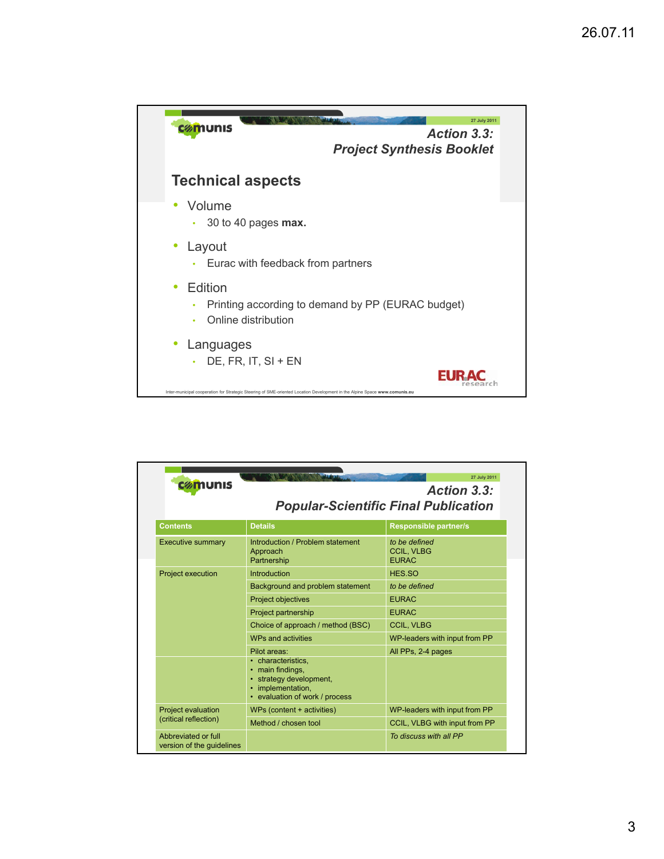

| 27 July 2011<br>cømunis<br>Action 3.3:<br><b>Popular-Scientific Final Publication</b> |                                                                                                                                    |                                                    |  |  |
|---------------------------------------------------------------------------------------|------------------------------------------------------------------------------------------------------------------------------------|----------------------------------------------------|--|--|
| <b>Contents</b>                                                                       | <b>Details</b>                                                                                                                     | <b>Responsible partner/s</b>                       |  |  |
| <b>Executive summary</b>                                                              | Introduction / Problem statement<br>Approach<br>Partnership                                                                        | to be defined<br><b>CCIL. VLBG</b><br><b>EURAC</b> |  |  |
| <b>Project execution</b>                                                              | Introduction                                                                                                                       | HES.SO                                             |  |  |
|                                                                                       | Background and problem statement                                                                                                   | to be defined                                      |  |  |
|                                                                                       | Project objectives                                                                                                                 | <b>EURAC</b>                                       |  |  |
|                                                                                       | Project partnership                                                                                                                | <b>EURAC</b>                                       |  |  |
|                                                                                       | Choice of approach / method (BSC)                                                                                                  | <b>CCIL, VLBG</b>                                  |  |  |
|                                                                                       | WPs and activities                                                                                                                 | WP-leaders with input from PP                      |  |  |
|                                                                                       | Pilot areas:<br>• characteristics.<br>main findings,<br>strategy development,<br>implementation,<br>• evaluation of work / process | All PPs, 2-4 pages                                 |  |  |
| <b>Project evaluation</b>                                                             | WPs (content + activities)                                                                                                         | WP-leaders with input from PP                      |  |  |
| (critical reflection)                                                                 | Method / chosen tool                                                                                                               | CCIL, VLBG with input from PP                      |  |  |
| Abbreviated or full<br>version of the guidelines                                      |                                                                                                                                    | To discuss with all PP                             |  |  |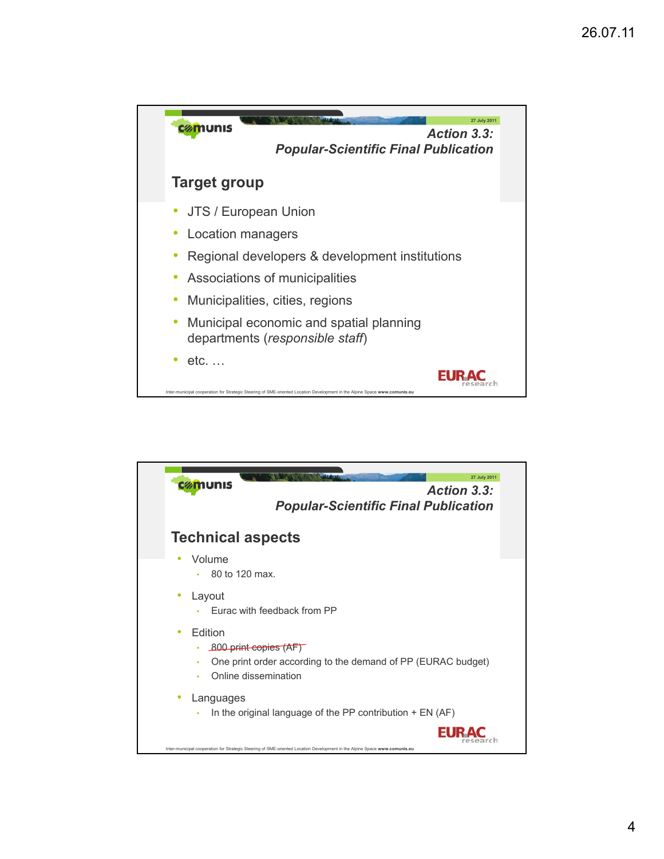

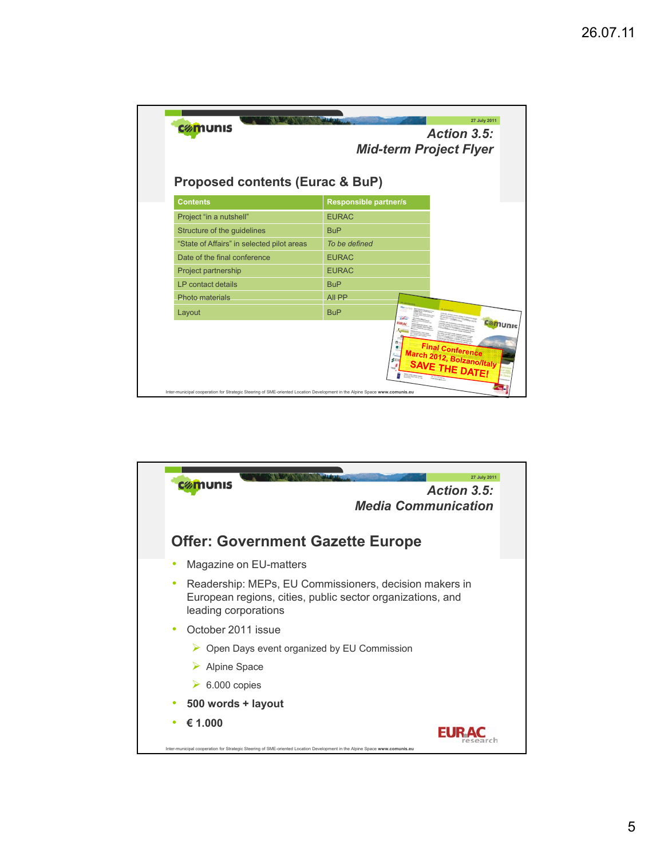| cømunis                                                       | 27 July 2011<br>Action 3.5:<br><b>Mid-term Project Flyer</b>                      |  |
|---------------------------------------------------------------|-----------------------------------------------------------------------------------|--|
| <b>Proposed contents (Eurac &amp; BuP)</b><br><b>Contents</b> | <b>Responsible partner/s</b>                                                      |  |
| Project "in a nutshell"                                       | <b>EURAC</b>                                                                      |  |
| Structure of the guidelines                                   | <b>BuP</b>                                                                        |  |
| "State of Affairs" in selected pilot areas                    | To be defined                                                                     |  |
| Date of the final conference                                  | <b>EURAC</b>                                                                      |  |
| Project partnership                                           | <b>EURAC</b>                                                                      |  |
| LP contact details                                            | <b>BuP</b>                                                                        |  |
| Photo materials                                               | All PP                                                                            |  |
| Layout                                                        | <b>BuP</b>                                                                        |  |
|                                                               | comunis<br>Final Conference<br>March 2012, Bolzano/Italy<br><b>SAVE THE DATE!</b> |  |